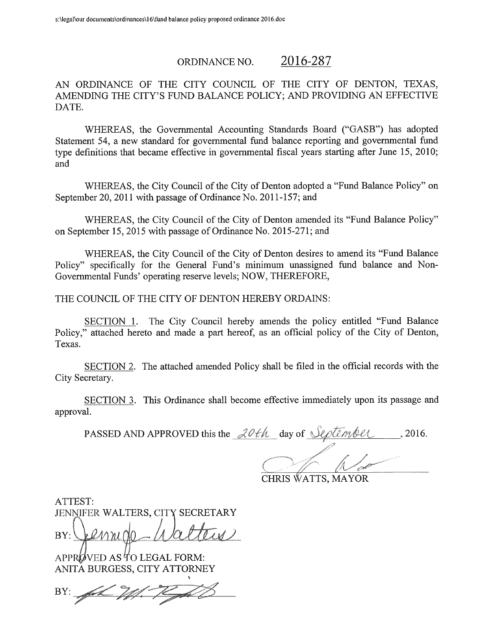#### 2016-287 ORDINANCE NO.

AN ORDINANCE OF THE CITY COUNCIL OF THE CITY OF DENTON, TEXAS, AMENDING THE CITY'S FUND BALANCE POLICY; AND PROVIDING AN EFFECTIVE DATE.

WHEREAS, the Governmental Accounting Standards Board ("GASB") has adopted Statement 54, a new standard for governmental fund balance reporting and governmental fund type definitions that became effective in governmental fiscal years starting after June 15, 2010; and

WHEREAS, the City Council of the City of Denton adopted a "Fund Balance Policy" on September 20, 2011 with passage of Ordinance No. 2011-157; and

WHEREAS, the City Council of the City of Denton amended its "Fund Balance Policy" on September 15, 2015 with passage of Ordinance No. 2015-271; and

WHEREAS, the City Council of the City of Denton desires to amend its "Fund Balance Policy" specifically for the General Fund's minimum unassigned fund balance and Non-Governmental Funds' operating reserve levels; NOW, THEREFORE,

THE COUNCIL OF THE CITY OF DENTON HEREBY ORDAINS:

SECTION 1. The City Council hereby amends the policy entitled "Fund Balance" Policy," attached hereto and made a part hereof, as an official policy of the City of Denton, Texas.

SECTION 2. The attached amended Policy shall be filed in the official records with the City Secretary.

SECTION 3. This Ordinance shall become effective immediately upon its passage and approval.

PASSED AND APPROVED this the  $20th$  day of September 1, 2016.

CHRIS WATTS, MAYOR

ATTEST: JENNIFER WALTERS, CITY SECRETARY

 $BY: Llum00$ 

ARPT VED AS TO LEGAL FORM: ANITA BURGESS, CITY ATTORNEY

BY: Ach M. KAD

I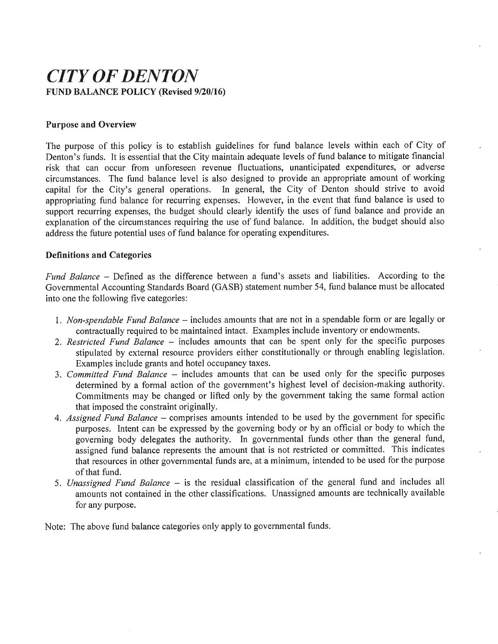# CITY OF DENTON **FUND BALANCE POLICY (Revised 9/20/16)**

# Purpose and Overview

The purpose of this policy is to establish guidelines for fund balance levels within each of City of Denton's funds. It is essential that the City maintain adequate levels of fund balance to mitigate financial risk that can occur from unforeseen revenue fluctuations, unanticipated expenditures, or adverse circumstances. The fund balance level is also designed to provide an appropriate amount of working capital for the City's general operations. In general, the City of Denton should strive to avoid appropriating fund balance for recurring expenses. However, in the event that fund balance is used to support recurring expenses, the budget should clearly identify the uses of fund balance and provide an explanation of the circumstances requiring the use of fund balance. In addition, the budget should also address the future potential uses of fund balance for operating expenditures.

# Definitions and Categories

Fund Balance – Defined as the difference between a fund's assets and liabilities. According to the Governmental Accounting Standards Board ( GASB) statement number 54, fund balance must be allocated into one the following five categories:

- 1. Non-spendable Fund Balance includes amounts that are not in a spendable form or are legally or contractually required to be maintained intact. Examples include inventory or endowments.
- 2. Restricted Fund Balance includes amounts that can be spent only for the specific purposes stipulated by external resource providers either constitutionally or through enabling legislation. Examples include grants and hotel occupancy taxes.
- 3. Committed Fund Balance includes amounts that can be used only for the specific purposes determined by a formal action of the government's highest level of decision-making authority. Commitments may be changed or lifted only by the government taking the same formal action that imposed the constraint originally.
- 4. Assigned Fund Balance comprises amounts intended to be used by the government for specific purposes. Intent can be expressed by the governing body or by an official or body to which the governing body delegates the authority. In governmental funds other than the general fund, assigned fund balance represents the amount that is not restricted or committed. This indicates that resources in other governmental funds are, at a minimum, intended to be used for the purpose of that fund.
- 5. Unassigned Fund Balance is the residual classification of the general fund and includes all amounts not contained in the other classifications. Unassigned amounts are technically available for any purpose.

Note: The above fund balance categories only apply to governmental funds,